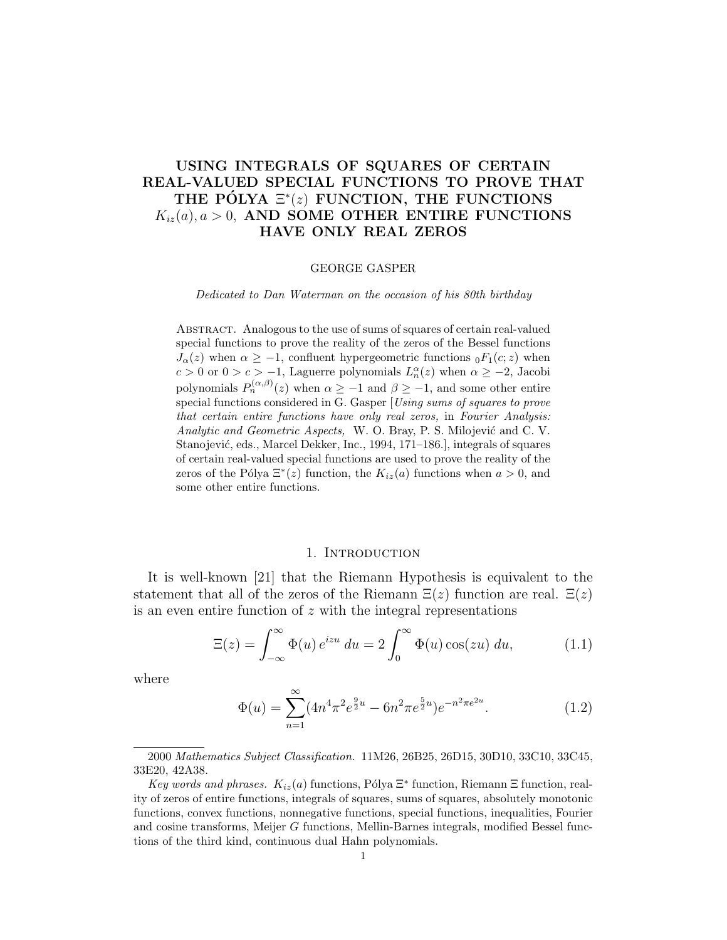# USING INTEGRALS OF SQUARES OF CERTAIN REAL-VALUED SPECIAL FUNCTIONS TO PROVE THAT THE PÓLYA  $\Xi^*(z)$  FUNCTION, THE FUNCTIONS  $K_{iz}(a), a > 0$ , AND SOME OTHER ENTIRE FUNCTIONS HAVE ONLY REAL ZEROS

### GEORGE GASPER

Dedicated to Dan Waterman on the occasion of his 80th birthday

Abstract. Analogous to the use of sums of squares of certain real-valued special functions to prove the reality of the zeros of the Bessel functions  $J_{\alpha}(z)$  when  $\alpha \geq -1$ , confluent hypergeometric functions  ${}_{0}F_{1}(c; z)$  when  $c > 0$  or  $0 > c > -1$ , Laguerre polynomials  $L_n^{\alpha}(z)$  when  $\alpha \geq -2$ , Jacobi polynomials  $P_n^{(\alpha,\beta)}(z)$  when  $\alpha \geq -1$  and  $\beta \geq -1$ , and some other entire special functions considered in G. Gasper [Using sums of squares to prove that certain entire functions have only real zeros, in Fourier Analysis: Analytic and Geometric Aspects, W. O. Bray, P. S. Milojević and C. V. Stanojević, eds., Marcel Dekker, Inc., 1994, 171–186.], integrals of squares of certain real-valued special functions are used to prove the reality of the zeros of the Pólya  $\Xi^*(z)$  function, the  $K_{iz}(a)$  functions when  $a > 0$ , and some other entire functions.

## 1. INTRODUCTION

It is well-known [21] that the Riemann Hypothesis is equivalent to the statement that all of the zeros of the Riemann  $\Xi(z)$  function are real.  $\Xi(z)$ is an even entire function of z with the integral representations

$$
\Xi(z) = \int_{-\infty}^{\infty} \Phi(u) e^{izu} du = 2 \int_{0}^{\infty} \Phi(u) \cos(zu) du,
$$
 (1.1)

where

$$
\Phi(u) = \sum_{n=1}^{\infty} (4n^4 \pi^2 e^{\frac{9}{2}u} - 6n^2 \pi e^{\frac{5}{2}u}) e^{-n^2 \pi e^{2u}}.
$$
\n(1.2)

2000 Mathematics Subject Classification. 11M26, 26B25, 26D15, 30D10, 33C10, 33C45, 33E20, 42A38.

Key words and phrases.  $K_{iz}(a)$  functions, Pólya  $\Xi^*$  function, Riemann  $\Xi$  function, reality of zeros of entire functions, integrals of squares, sums of squares, absolutely monotonic functions, convex functions, nonnegative functions, special functions, inequalities, Fourier and cosine transforms, Meijer G functions, Mellin-Barnes integrals, modified Bessel functions of the third kind, continuous dual Hahn polynomials.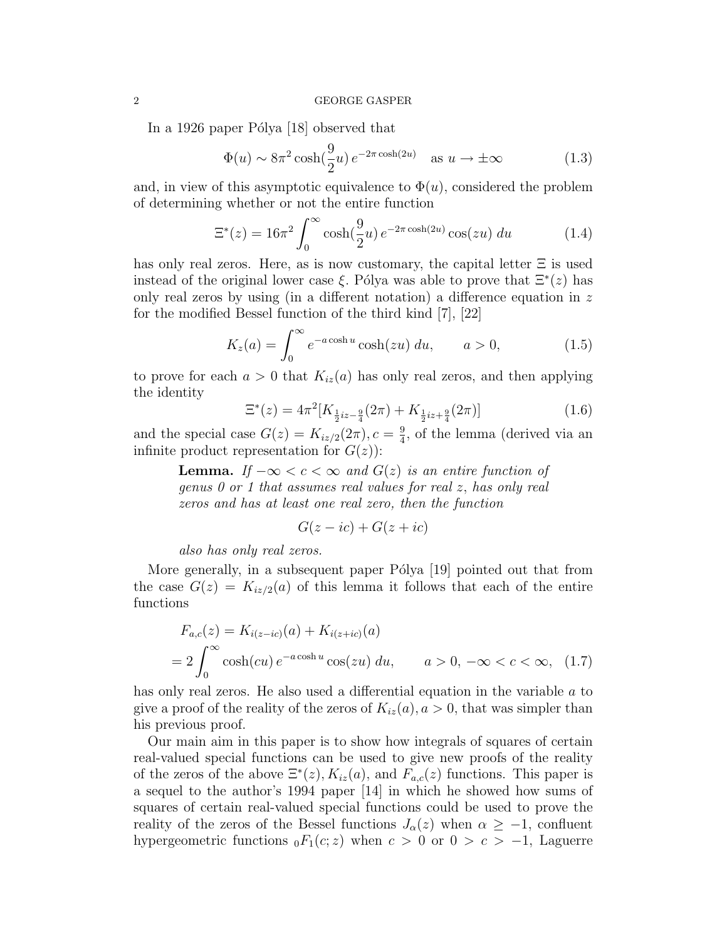### 2 GEORGE GASPER

In a 1926 paper Pólya  $|18|$  observed that

$$
\Phi(u) \sim 8\pi^2 \cosh(\frac{9}{2}u) e^{-2\pi \cosh(2u)} \quad \text{as } u \to \pm \infty \tag{1.3}
$$

and, in view of this asymptotic equivalence to  $\Phi(u)$ , considered the problem of determining whether or not the entire function

$$
\Xi^*(z) = 16\pi^2 \int_0^\infty \cosh(\frac{9}{2}u) e^{-2\pi \cosh(2u)} \cos(zu) du \qquad (1.4)
$$

has only real zeros. Here, as is now customary, the capital letter  $\Xi$  is used instead of the original lower case  $\xi$ . Pólya was able to prove that  $\Xi^*(z)$  has only real zeros by using (in a different notation) a difference equation in  $z$ for the modified Bessel function of the third kind [7], [22]

$$
K_z(a) = \int_0^\infty e^{-a\cosh u} \cosh(zu) \ du, \qquad a > 0,
$$
 (1.5)

to prove for each  $a > 0$  that  $K_{iz}(a)$  has only real zeros, and then applying the identity

$$
\Xi^*(z) = 4\pi^2 [K_{\frac{1}{2}iz - \frac{9}{4}}(2\pi) + K_{\frac{1}{2}iz + \frac{9}{4}}(2\pi)]
$$
\n(1.6)

and the special case  $G(z) = K_{iz/2}(2\pi), c = \frac{9}{4}$  $\frac{9}{4}$ , of the lemma (derived via an infinite product representation for  $G(z)$ :

**Lemma.** If  $-\infty < c < \infty$  and  $G(z)$  is an entire function of genus 0 or 1 that assumes real values for real z, has only real zeros and has at least one real zero, then the function

$$
G(z - ic) + G(z + ic)
$$

also has only real zeros.

More generally, in a subsequent paper Pólya [19] pointed out that from the case  $G(z) = K_{iz/2}(a)$  of this lemma it follows that each of the entire functions

$$
F_{a,c}(z) = K_{i(z-ic)}(a) + K_{i(z+ic)}(a)
$$
  
=  $2 \int_0^\infty \cosh(cu) e^{-a \cosh u} \cos(zu) du$ ,  $a > 0, -\infty < c < \infty$ , (1.7)

has only real zeros. He also used a differential equation in the variable a to give a proof of the reality of the zeros of  $K_{iz}(a)$ ,  $a > 0$ , that was simpler than his previous proof.

Our main aim in this paper is to show how integrals of squares of certain real-valued special functions can be used to give new proofs of the reality of the zeros of the above  $\Xi^*(z)$ ,  $K_{iz}(a)$ , and  $F_{a,c}(z)$  functions. This paper is a sequel to the author's 1994 paper [14] in which he showed how sums of squares of certain real-valued special functions could be used to prove the reality of the zeros of the Bessel functions  $J_{\alpha}(z)$  when  $\alpha \geq -1$ , confluent hypergeometric functions  $_0F_1(c; z)$  when  $c > 0$  or  $0 > c > -1$ , Laguerre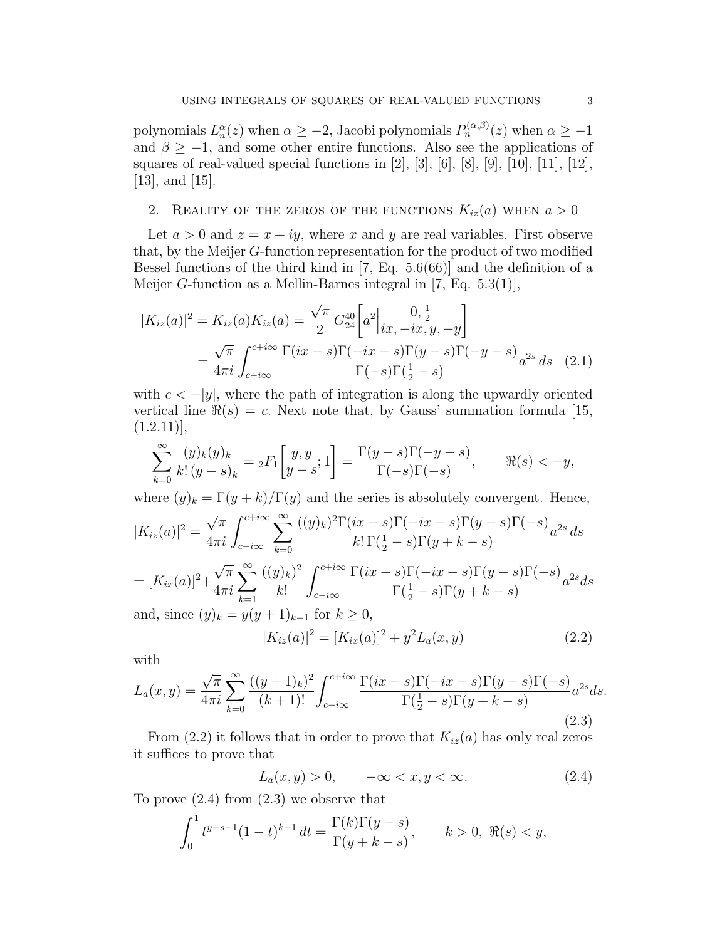polynomials  $L_n^{\alpha}(z)$  when  $\alpha \geq -2$ , Jacobi polynomials  $P_n^{(\alpha,\beta)}(z)$  when  $\alpha \geq -1$ and  $\beta \ge -1$ , and some other entire functions. Also see the applications of squares of real-valued special functions in [2], [3], [6], [8], [9], [10], [11], [12], [13], and [15].

# 2. REALITY OF THE ZEROS OF THE FUNCTIONS  $K_{iz}(a)$  when  $a > 0$

Let  $a > 0$  and  $z = x + iy$ , where x and y are real variables. First observe that, by the Meijer G-function representation for the product of two modified Bessel functions of the third kind in [7, Eq. 5.6(66)] and the definition of a Meijer G-function as a Mellin-Barnes integral in [7, Eq.  $5.3(1)$ ],

$$
|K_{iz}(a)|^2 = K_{iz}(a)K_{i\bar{z}}(a) = \frac{\sqrt{\pi}}{2} G_{24}^{40} \left[a^2 \Big|_{ix, -ix, y, -y} \right]
$$
  
=  $\frac{\sqrt{\pi}}{4\pi i} \int_{c-i\infty}^{c+i\infty} \frac{\Gamma(ix-s)\Gamma(-ix-s)\Gamma(y-s)\Gamma(-y-s)}{\Gamma(-s)\Gamma(\frac{1}{2}-s)} a^{2s} ds$  (2.1)

with  $c < -|y|$ , where the path of integration is along the upwardly oriented vertical line  $\Re(s) = c$ . Next note that, by Gauss' summation formula [15,  $(1.2.11)$ ],

$$
\sum_{k=0}^{\infty} \frac{(y)_k (y)_k}{k! (y-s)_k} = {}_2F_1 \left[ \begin{matrix} y, y \\ y-s \end{matrix}; 1 \right] = \frac{\Gamma(y-s)\Gamma(-y-s)}{\Gamma(-s)\Gamma(-s)}, \qquad \Re(s) < -y,
$$

where  $(y)_k = \Gamma(y+k)/\Gamma(y)$  and the series is absolutely convergent. Hence,

$$
|K_{iz}(a)|^2 = \frac{\sqrt{\pi}}{4\pi i} \int_{c-i\infty}^{c+i\infty} \sum_{k=0}^{\infty} \frac{((y)_k)^2 \Gamma(ix-s) \Gamma(-ix-s) \Gamma(y-s) \Gamma(-s)}{k! \Gamma(\frac{1}{2}-s) \Gamma(y+k-s)} a^{2s} ds
$$
  
=  $[K_{ix}(a)]^2 + \frac{\sqrt{\pi}}{4\pi i} \sum_{k=1}^{\infty} \frac{((y)_k)^2}{k!} \int_{c-i\infty}^{c+i\infty} \frac{\Gamma(ix-s) \Gamma(-ix-s) \Gamma(y-s) \Gamma(-s)}{\Gamma(\frac{1}{2}-s) \Gamma(y+k-s)} a^{2s} ds$   
and, since  $(y)_k = y(y+1)_{k-1}$  for  $k \ge 0$ ,

$$
|K_{iz}(a)|^2 = [K_{ix}(a)]^2 + y^2 L_a(x, y)
$$
\n(2.2)

with

$$
L_a(x,y) = \frac{\sqrt{\pi}}{4\pi i} \sum_{k=0}^{\infty} \frac{((y+1)_k)^2}{(k+1)!} \int_{c-i\infty}^{c+i\infty} \frac{\Gamma(ix-s)\Gamma(-ix-s)\Gamma(y-s)\Gamma(-s)}{\Gamma(\frac{1}{2}-s)\Gamma(y+k-s)} a^{2s} ds.
$$
\n(2.3)

From (2.2) it follows that in order to prove that  $K_{iz}(a)$  has only real zeros it suffices to prove that

$$
L_a(x, y) > 0, \quad -\infty < x, y < \infty. \tag{2.4}
$$

To prove (2.4) from (2.3) we observe that

$$
\int_0^1 t^{y-s-1} (1-t)^{k-1} dt = \frac{\Gamma(k)\Gamma(y-s)}{\Gamma(y+k-s)}, \qquad k > 0, \ \Re(s) < y,
$$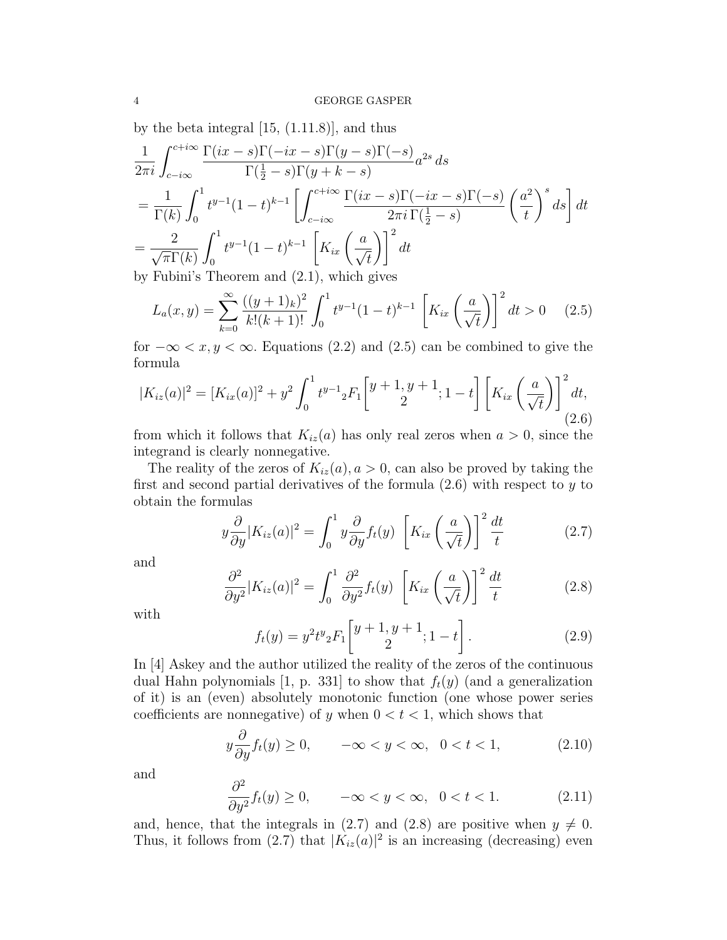by the beta integral  $[15, (1.11.8)]$ , and thus

$$
\frac{1}{2\pi i} \int_{c-i\infty}^{c+i\infty} \frac{\Gamma(ix-s)\Gamma(-ix-s)\Gamma(y-s)\Gamma(-s)}{\Gamma(\frac{1}{2}-s)\Gamma(y+k-s)} a^{2s} ds
$$
\n
$$
= \frac{1}{\Gamma(k)} \int_{0}^{1} t^{y-1} (1-t)^{k-1} \left[ \int_{c-i\infty}^{c+i\infty} \frac{\Gamma(ix-s)\Gamma(-ix-s)\Gamma(-s)}{2\pi i \Gamma(\frac{1}{2}-s)} \left(\frac{a^{2}}{t}\right)^{s} ds \right] dt
$$
\n
$$
= \frac{2}{\sqrt{\pi} \Gamma(k)} \int_{0}^{1} t^{y-1} (1-t)^{k-1} \left[ K_{ix} \left(\frac{a}{\sqrt{t}}\right) \right]^{2} dt
$$

by Fubini's Theorem and (2.1), which gives

$$
L_a(x,y) = \sum_{k=0}^{\infty} \frac{((y+1)_k)^2}{k!(k+1)!} \int_0^1 t^{y-1} (1-t)^{k-1} \left[ K_{ix} \left( \frac{a}{\sqrt{t}} \right) \right]^2 dt > 0 \quad (2.5)
$$

for  $-\infty < x, y < \infty$ . Equations (2.2) and (2.5) can be combined to give the formula

$$
|K_{iz}(a)|^2 = [K_{ix}(a)]^2 + y^2 \int_0^1 t^{y-1} {}_2F_1 \left[ \frac{y+1, y+1}{2}; 1-t \right] \left[ K_{ix} \left( \frac{a}{\sqrt{t}} \right) \right]^2 dt,
$$
\n(2.6)

from which it follows that  $K_{iz}(a)$  has only real zeros when  $a > 0$ , since the integrand is clearly nonnegative.

The reality of the zeros of  $K_{iz}(a)$ ,  $a > 0$ , can also be proved by taking the first and second partial derivatives of the formula  $(2.6)$  with respect to y to obtain the formulas

$$
y\frac{\partial}{\partial y}|K_{iz}(a)|^2 = \int_0^1 y\frac{\partial}{\partial y}f_t(y) \left[K_{ix}\left(\frac{a}{\sqrt{t}}\right)\right]^2 \frac{dt}{t}
$$
 (2.7)

and

$$
\frac{\partial^2}{\partial y^2} |K_{iz}(a)|^2 = \int_0^1 \frac{\partial^2}{\partial y^2} f_t(y) \left[ K_{ix} \left( \frac{a}{\sqrt{t}} \right) \right]^2 \frac{dt}{t}
$$
 (2.8)

with

$$
f_t(y) = y^2 t^y{}_2 F_1 \left[ \frac{y+1, y+1}{2}; 1-t \right]. \tag{2.9}
$$

In [4] Askey and the author utilized the reality of the zeros of the continuous dual Hahn polynomials [1, p. 331] to show that  $f_t(y)$  (and a generalization of it) is an (even) absolutely monotonic function (one whose power series coefficients are nonnegative) of y when  $0 < t < 1$ , which shows that

$$
y\frac{\partial}{\partial y}f_t(y) \ge 0, \qquad -\infty < y < \infty, \ \ 0 < t < 1,\tag{2.10}
$$

and

$$
\frac{\partial^2}{\partial y^2} f_t(y) \ge 0, \qquad -\infty < y < \infty, \ \ 0 < t < 1. \tag{2.11}
$$

and, hence, that the integrals in (2.7) and (2.8) are positive when  $y \neq 0$ . Thus, it follows from (2.7) that  $|K_{iz}(a)|^2$  is an increasing (decreasing) even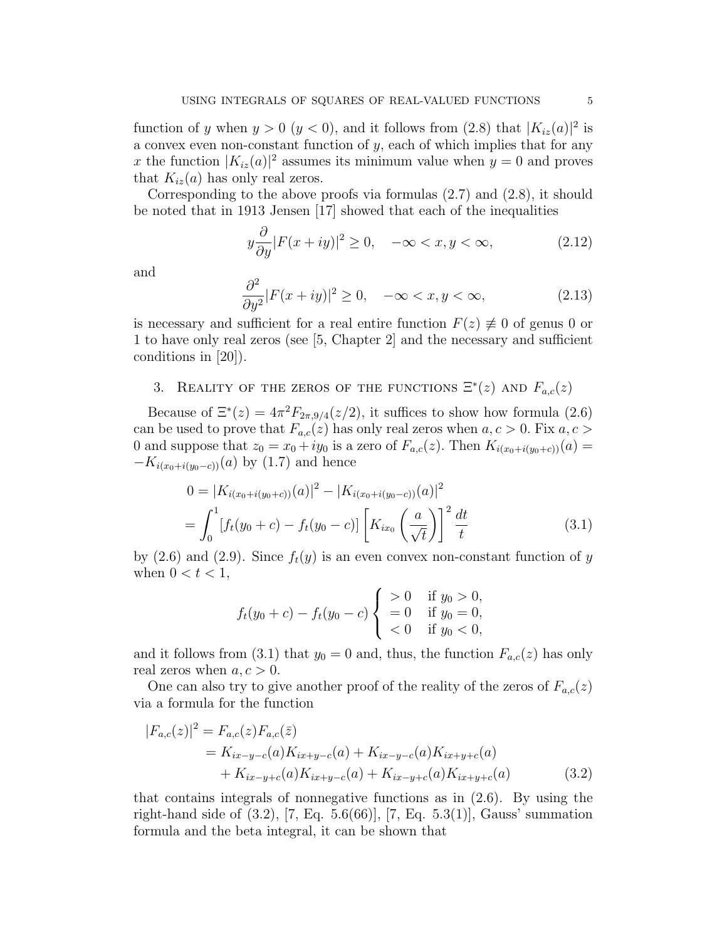function of y when  $y > 0$   $(y < 0)$ , and it follows from  $(2.8)$  that  $|K_{iz}(a)|^2$  is a convex even non-constant function of  $y$ , each of which implies that for any x the function  $|K_{iz}(a)|^2$  assumes its minimum value when  $y = 0$  and proves that  $K_{iz}(a)$  has only real zeros.

Corresponding to the above proofs via formulas (2.7) and (2.8), it should be noted that in 1913 Jensen [17] showed that each of the inequalities

$$
y\frac{\partial}{\partial y}|F(x+iy)|^2 \ge 0, \quad -\infty < x, y < \infty,\tag{2.12}
$$

and

$$
\frac{\partial^2}{\partial y^2}|F(x+iy)|^2 \ge 0, \quad -\infty < x, y < \infty,\tag{2.13}
$$

is necessary and sufficient for a real entire function  $F(z) \neq 0$  of genus 0 or 1 to have only real zeros (see [5, Chapter 2] and the necessary and sufficient conditions in [20]).

# 3. REALITY OF THE ZEROS OF THE FUNCTIONS  $\Xi^*(z)$  AND  $F_{a,c}(z)$

Because of  $\Xi^*(z) = 4\pi^2 F_{2\pi,9/4}(z/2)$ , it suffices to show how formula (2.6) can be used to prove that  $F_{a,c}(z)$  has only real zeros when  $a, c > 0$ . Fix  $a, c > 0$ 0 and suppose that  $z_0 = x_0 + iy_0$  is a zero of  $F_{a,c}(z)$ . Then  $K_{i(x_0+i(y_0+c))}(a) =$  $-K_{i(x_0+i(y_0-c))}(a)$  by (1.7) and hence

$$
0 = |K_{i(x_0+i(y_0+c))}(a)|^2 - |K_{i(x_0+i(y_0-c))}(a)|^2
$$
  
= 
$$
\int_0^1 [f_t(y_0+c) - f_t(y_0-c)] \left[K_{ix_0}\left(\frac{a}{\sqrt{t}}\right)\right]^2 \frac{dt}{t}
$$
 (3.1)

by (2.6) and (2.9). Since  $f_t(y)$  is an even convex non-constant function of y when  $0 < t < 1$ ,

$$
f_t(y_0 + c) - f_t(y_0 - c) \begin{cases} > 0 & \text{if } y_0 > 0, \\ = 0 & \text{if } y_0 = 0, \\ < 0 & \text{if } y_0 < 0, \end{cases}
$$

and it follows from (3.1) that  $y_0 = 0$  and, thus, the function  $F_{a,c}(z)$  has only real zeros when  $a, c > 0$ .

One can also try to give another proof of the reality of the zeros of  $F_{a,c}(z)$ via a formula for the function

$$
|F_{a,c}(z)|^2 = F_{a,c}(z)F_{a,c}(\bar{z})
$$
  
=  $K_{ix-y-c}(a)K_{ix+y-c}(a) + K_{ix-y-c}(a)K_{ix+y+c}(a)$   
+  $K_{ix-y+c}(a)K_{ix+y-c}(a) + K_{ix-y+c}(a)K_{ix+y+c}(a)$  (3.2)

that contains integrals of nonnegative functions as in (2.6). By using the right-hand side of (3.2), [7, Eq. 5.6(66)], [7, Eq. 5.3(1)], Gauss' summation formula and the beta integral, it can be shown that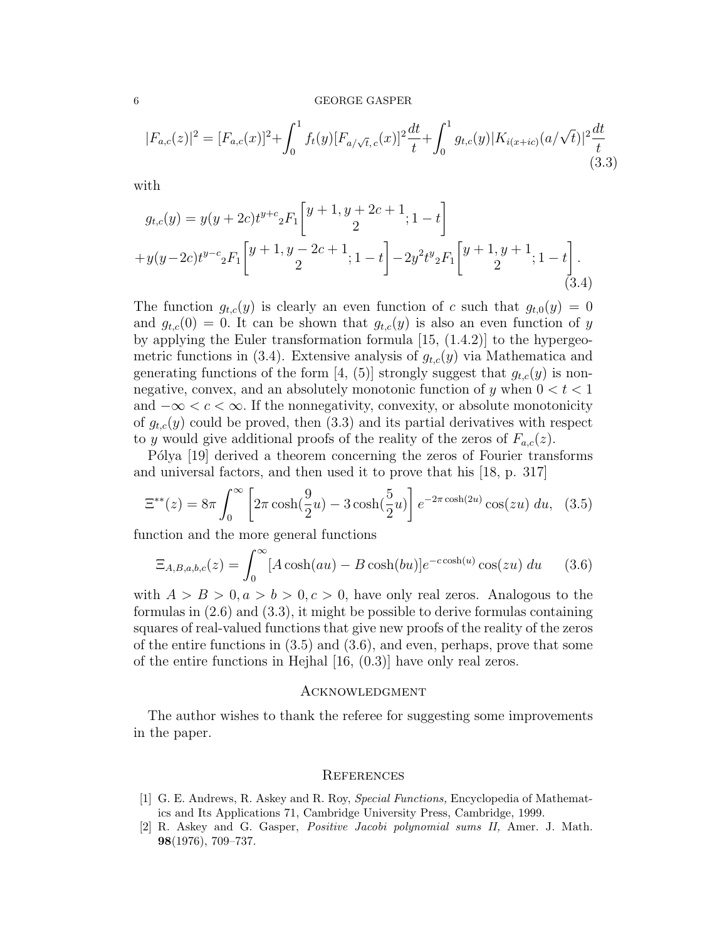### 6 GEORGE GASPER

$$
|F_{a,c}(z)|^2 = [F_{a,c}(x)]^2 + \int_0^1 f_t(y)[F_{a/\sqrt{t},c}(x)]^2 \frac{dt}{t} + \int_0^1 g_{t,c}(y)|K_{i(x+ic)}(a/\sqrt{t})|^2 \frac{dt}{t}
$$
(3.3)

with

$$
g_{t,c}(y) = y(y + 2c)t^{y+c} {}_{2}F_{1}\left[y + 1, y + 2c + 1; 1 - t\right] + y(y - 2c)t^{y-c} {}_{2}F_{1}\left[y + 1, y - 2c + 1; 1 - t\right] - 2y^{2}t^{y} {}_{2}F_{1}\left[y + 1, y + 1; 1 - t\right].
$$
\n(3.4)

The function  $g_{t,c}(y)$  is clearly an even function of c such that  $g_{t,0}(y) = 0$ and  $g_{t,c}(0) = 0$ . It can be shown that  $g_{t,c}(y)$  is also an even function of y by applying the Euler transformation formula [15, (1.4.2)] to the hypergeometric functions in (3.4). Extensive analysis of  $g_{t,c}(y)$  via Mathematica and generating functions of the form [4, (5)] strongly suggest that  $g_{t,c}(y)$  is nonnegative, convex, and an absolutely monotonic function of y when  $0 < t < 1$ and  $-\infty < c < \infty$ . If the nonnegativity, convexity, or absolute monotonicity of  $g_{t,c}(y)$  could be proved, then (3.3) and its partial derivatives with respect to y would give additional proofs of the reality of the zeros of  $F_{a,c}(z)$ .

Pólya [19] derived a theorem concerning the zeros of Fourier transforms and universal factors, and then used it to prove that his [18, p. 317]

$$
\Xi^{**}(z) = 8\pi \int_0^\infty \left[2\pi \cosh(\frac{9}{2}u) - 3\cosh(\frac{5}{2}u)\right] e^{-2\pi \cosh(2u)} \cos(zu) du, \tag{3.5}
$$

function and the more general functions

$$
\Xi_{A,B,a,b,c}(z) = \int_0^\infty [A\cosh(au) - B\cosh(bu)]e^{-c\cosh(u)}\cos(zu) du \qquad (3.6)
$$

with  $A > B > 0, a > b > 0, c > 0$ , have only real zeros. Analogous to the formulas in (2.6) and (3.3), it might be possible to derive formulas containing squares of real-valued functions that give new proofs of the reality of the zeros of the entire functions in  $(3.5)$  and  $(3.6)$ , and even, perhaps, prove that some of the entire functions in Hejhal [16, (0.3)] have only real zeros.

### Acknowledgment

The author wishes to thank the referee for suggesting some improvements in the paper.

### **REFERENCES**

- [1] G. E. Andrews, R. Askey and R. Roy, Special Functions, Encyclopedia of Mathematics and Its Applications 71, Cambridge University Press, Cambridge, 1999.
- [2] R. Askey and G. Gasper, Positive Jacobi polynomial sums II, Amer. J. Math. 98(1976), 709–737.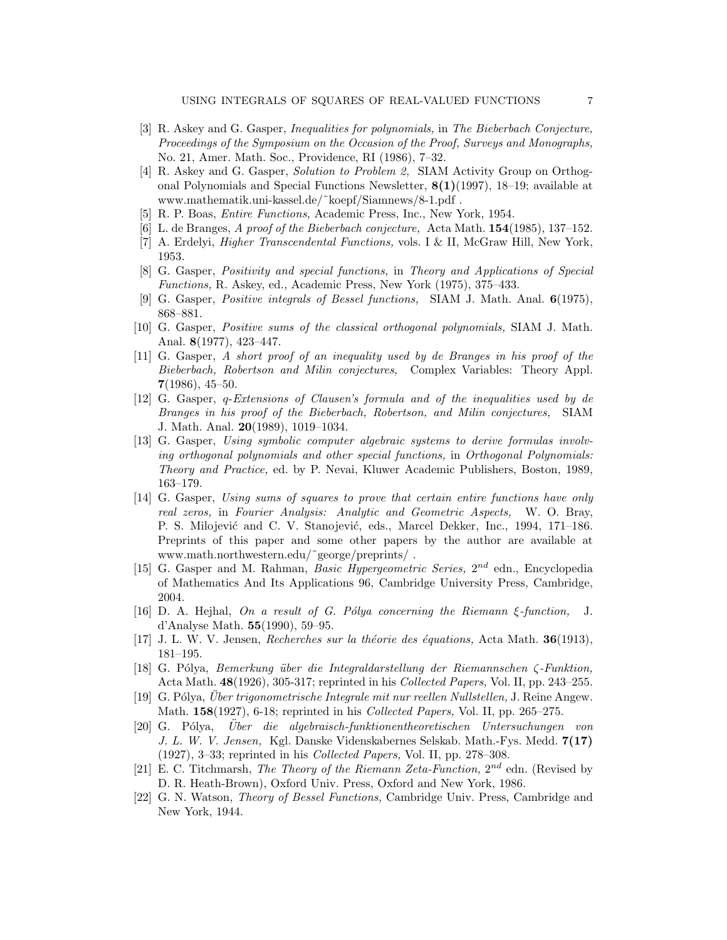- [3] R. Askey and G. Gasper, Inequalities for polynomials, in The Bieberbach Conjecture, Proceedings of the Symposium on the Occasion of the Proof, Surveys and Monographs, No. 21, Amer. Math. Soc., Providence, RI (1986), 7–32.
- [4] R. Askey and G. Gasper, Solution to Problem 2, SIAM Activity Group on Orthogonal Polynomials and Special Functions Newsletter,  $8(1)(1997)$ , 18–19; available at www.mathematik.uni-kassel.de/˜koepf/Siamnews/8-1.pdf .
- [5] R. P. Boas, Entire Functions, Academic Press, Inc., New York, 1954.
- [6] L. de Branges, A proof of the Bieberbach conjecture, Acta Math. 154(1985), 137–152.
- [7] A. Erdelyi, Higher Transcendental Functions, vols. I & II, McGraw Hill, New York, 1953.
- [8] G. Gasper, Positivity and special functions, in Theory and Applications of Special Functions, R. Askey, ed., Academic Press, New York (1975), 375–433.
- [9] G. Gasper, Positive integrals of Bessel functions, SIAM J. Math. Anal. 6(1975), 868–881.
- [10] G. Gasper, Positive sums of the classical orthogonal polynomials, SIAM J. Math. Anal. 8(1977), 423–447.
- [11] G. Gasper, A short proof of an inequality used by de Branges in his proof of the Bieberbach, Robertson and Milin conjectures, Complex Variables: Theory Appl. 7(1986), 45–50.
- [12] G. Gasper, q-Extensions of Clausen's formula and of the inequalities used by de Branges in his proof of the Bieberbach, Robertson, and Milin conjectures, SIAM J. Math. Anal. 20(1989), 1019–1034.
- [13] G. Gasper, Using symbolic computer algebraic systems to derive formulas involving orthogonal polynomials and other special functions, in Orthogonal Polynomials: Theory and Practice, ed. by P. Nevai, Kluwer Academic Publishers, Boston, 1989, 163–179.
- [14] G. Gasper, Using sums of squares to prove that certain entire functions have only real zeros, in Fourier Analysis: Analytic and Geometric Aspects, W. O. Bray, P. S. Milojević and C. V. Stanojević, eds., Marcel Dekker, Inc., 1994, 171–186. Preprints of this paper and some other papers by the author are available at www.math.northwestern.edu/˜george/preprints/ .
- [15] G. Gasper and M. Rahman, *Basic Hypergeometric Series*,  $2^{nd}$  edn., Encyclopedia of Mathematics And Its Applications 96, Cambridge University Press, Cambridge, 2004.
- [16] D. A. Hejhal, On a result of G. Pólya concerning the Riemann  $\xi$ -function, J. d'Analyse Math. 55(1990), 59–95.
- [17] J. L. W. V. Jensen, Recherches sur la théorie des équations, Acta Math.  $36(1913)$ , 181–195.
- [18] G. Pólya, Bemerkung über die Integraldarstellung der Riemannschen ζ-Funktion, Acta Math.  $48(1926)$ , 305-317; reprinted in his *Collected Papers*, Vol. II, pp. 243–255.
- [19] G. Pólya, Uber trigonometrische Integrale mit nur reellen Nullstellen, J. Reine Angew. Math. **158**(1927), 6-18; reprinted in his *Collected Papers*, Vol. II, pp. 265–275.
- [20] G. P´olya, Uber die algebraisch-funktionentheoretischen Untersuchungen von ¨ J. L. W. V. Jensen, Kgl. Danske Videnskabernes Selskab. Math.-Fys. Medd. 7(17) (1927), 3–33; reprinted in his Collected Papers, Vol. II, pp. 278–308.
- [21] E. C. Titchmarsh, The Theory of the Riemann Zeta-Function,  $2^{nd}$  edn. (Revised by D. R. Heath-Brown), Oxford Univ. Press, Oxford and New York, 1986.
- [22] G. N. Watson, Theory of Bessel Functions, Cambridge Univ. Press, Cambridge and New York, 1944.